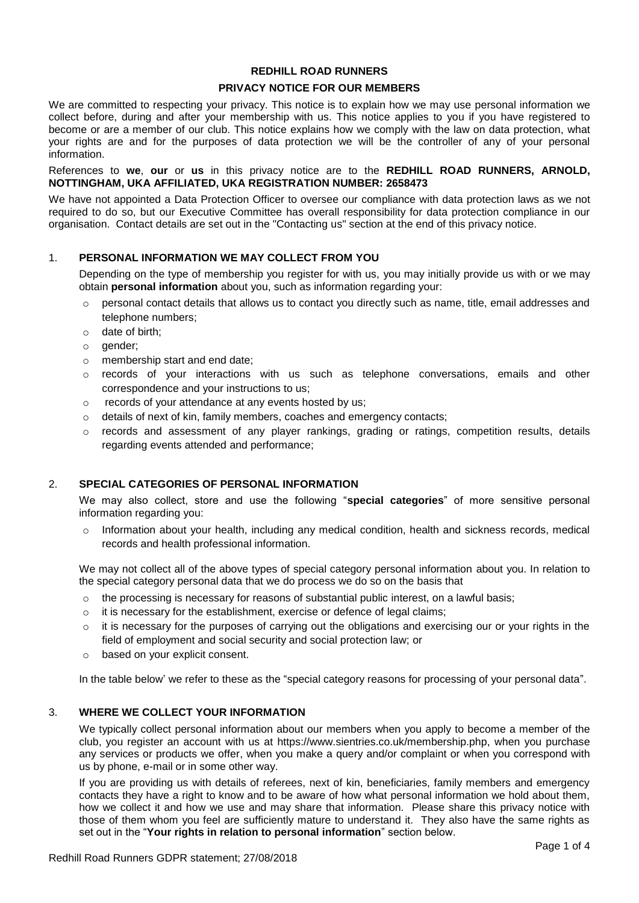## **REDHILL ROAD RUNNERS**

### **PRIVACY NOTICE FOR OUR MEMBERS**

We are committed to respecting your privacy. This notice is to explain how we may use personal information we collect before, during and after your membership with us. This notice applies to you if you have registered to become or are a member of our club. This notice explains how we comply with the law on data protection, what your rights are and for the purposes of data protection we will be the controller of any of your personal information.

References to **we**, **our** or **us** in this privacy notice are to the **REDHILL ROAD RUNNERS, ARNOLD, NOTTINGHAM, UKA AFFILIATED, UKA REGISTRATION NUMBER: 2658473**

We have not appointed a Data Protection Officer to oversee our compliance with data protection laws as we not required to do so, but our Executive Committee has overall responsibility for data protection compliance in our organisation. Contact details are set out in the "Contacting us" section at the end of this privacy notice.

### 1. **PERSONAL INFORMATION WE MAY COLLECT FROM YOU**

Depending on the type of membership you register for with us, you may initially provide us with or we may obtain **personal information** about you, such as information regarding your:

- personal contact details that allows us to contact you directly such as name, title, email addresses and telephone numbers;
- o date of birth;
- o gender;
- o membership start and end date;
- $\circ$  records of your interactions with us such as telephone conversations, emails and other correspondence and your instructions to us;
- o records of your attendance at any events hosted by us;
- o details of next of kin, family members, coaches and emergency contacts;
- o records and assessment of any player rankings, grading or ratings, competition results, details regarding events attended and performance;

#### 2. **SPECIAL CATEGORIES OF PERSONAL INFORMATION**

We may also collect, store and use the following "**special categories**" of more sensitive personal information regarding you:

 $\circ$  Information about your health, including any medical condition, health and sickness records, medical records and health professional information.

We may not collect all of the above types of special category personal information about you. In relation to the special category personal data that we do process we do so on the basis that

- $\circ$  the processing is necessary for reasons of substantial public interest, on a lawful basis;
- o it is necessary for the establishment, exercise or defence of legal claims;
- $\circ$  it is necessary for the purposes of carrying out the obligations and exercising our or your rights in the field of employment and social security and social protection law; or
- o based on your explicit consent.

In the table below' we refer to these as the "special category reasons for processing of your personal data".

#### 3. **WHERE WE COLLECT YOUR INFORMATION**

We typically collect personal information about our members when you apply to become a member of the club, you register an account with us at https://www.sientries.co.uk/membership.php, when you purchase any services or products we offer, when you make a query and/or complaint or when you correspond with us by phone, e-mail or in some other way.

If you are providing us with details of referees, next of kin, beneficiaries, family members and emergency contacts they have a right to know and to be aware of how what personal information we hold about them, how we collect it and how we use and may share that information. Please share this privacy notice with those of them whom you feel are sufficiently mature to understand it. They also have the same rights as set out in the "**Your rights in relation to personal information**" section below.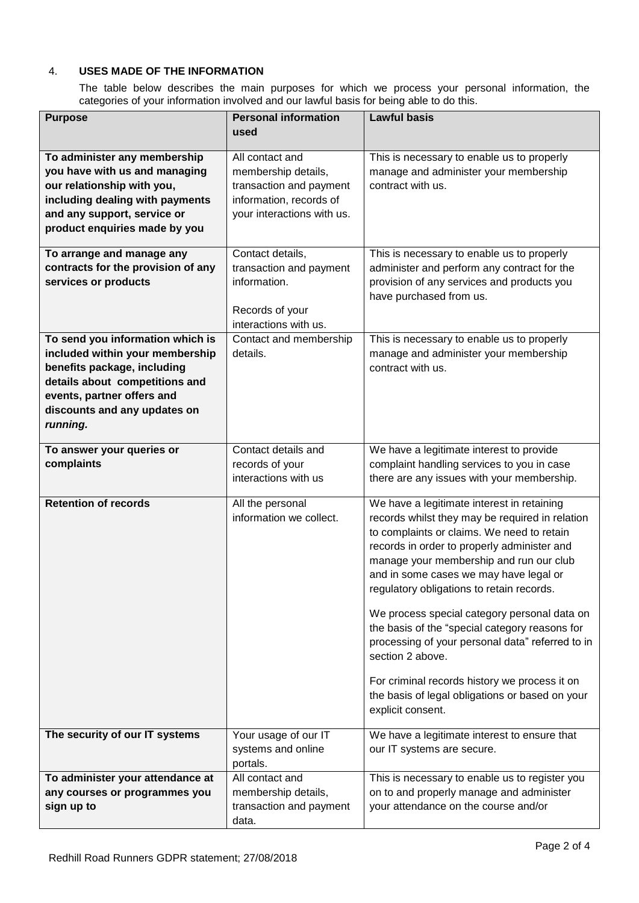# 4. **USES MADE OF THE INFORMATION**

The table below describes the main purposes for which we process your personal information, the categories of your information involved and our lawful basis for being able to do this.

| <b>Purpose</b>                                                                                                                                                                                                 | <b>Personal information</b><br>used                                                                                        | <b>Lawful basis</b>                                                                                                                                                                                                                                                                                                                                                                                                                                                                                                                                                                                                             |
|----------------------------------------------------------------------------------------------------------------------------------------------------------------------------------------------------------------|----------------------------------------------------------------------------------------------------------------------------|---------------------------------------------------------------------------------------------------------------------------------------------------------------------------------------------------------------------------------------------------------------------------------------------------------------------------------------------------------------------------------------------------------------------------------------------------------------------------------------------------------------------------------------------------------------------------------------------------------------------------------|
| To administer any membership<br>you have with us and managing<br>our relationship with you,<br>including dealing with payments<br>and any support, service or<br>product enquiries made by you                 | All contact and<br>membership details,<br>transaction and payment<br>information, records of<br>your interactions with us. | This is necessary to enable us to properly<br>manage and administer your membership<br>contract with us.                                                                                                                                                                                                                                                                                                                                                                                                                                                                                                                        |
| To arrange and manage any<br>contracts for the provision of any<br>services or products                                                                                                                        | Contact details,<br>transaction and payment<br>information.<br>Records of your<br>interactions with us.                    | This is necessary to enable us to properly<br>administer and perform any contract for the<br>provision of any services and products you<br>have purchased from us.                                                                                                                                                                                                                                                                                                                                                                                                                                                              |
| To send you information which is<br>included within your membership<br>benefits package, including<br>details about competitions and<br>events, partner offers and<br>discounts and any updates on<br>running. | Contact and membership<br>details.                                                                                         | This is necessary to enable us to properly<br>manage and administer your membership<br>contract with us.                                                                                                                                                                                                                                                                                                                                                                                                                                                                                                                        |
| To answer your queries or<br>complaints                                                                                                                                                                        | Contact details and<br>records of your<br>interactions with us                                                             | We have a legitimate interest to provide<br>complaint handling services to you in case<br>there are any issues with your membership.                                                                                                                                                                                                                                                                                                                                                                                                                                                                                            |
| <b>Retention of records</b>                                                                                                                                                                                    | All the personal<br>information we collect.                                                                                | We have a legitimate interest in retaining<br>records whilst they may be required in relation<br>to complaints or claims. We need to retain<br>records in order to properly administer and<br>manage your membership and run our club<br>and in some cases we may have legal or<br>regulatory obligations to retain records.<br>We process special category personal data on<br>the basis of the "special category reasons for<br>processing of your personal data" referred to in<br>section 2 above.<br>For criminal records history we process it on<br>the basis of legal obligations or based on your<br>explicit consent. |
| The security of our IT systems                                                                                                                                                                                 | Your usage of our IT<br>systems and online<br>portals.                                                                     | We have a legitimate interest to ensure that<br>our IT systems are secure.                                                                                                                                                                                                                                                                                                                                                                                                                                                                                                                                                      |
| To administer your attendance at<br>any courses or programmes you<br>sign up to                                                                                                                                | All contact and<br>membership details,<br>transaction and payment<br>data.                                                 | This is necessary to enable us to register you<br>on to and properly manage and administer<br>your attendance on the course and/or                                                                                                                                                                                                                                                                                                                                                                                                                                                                                              |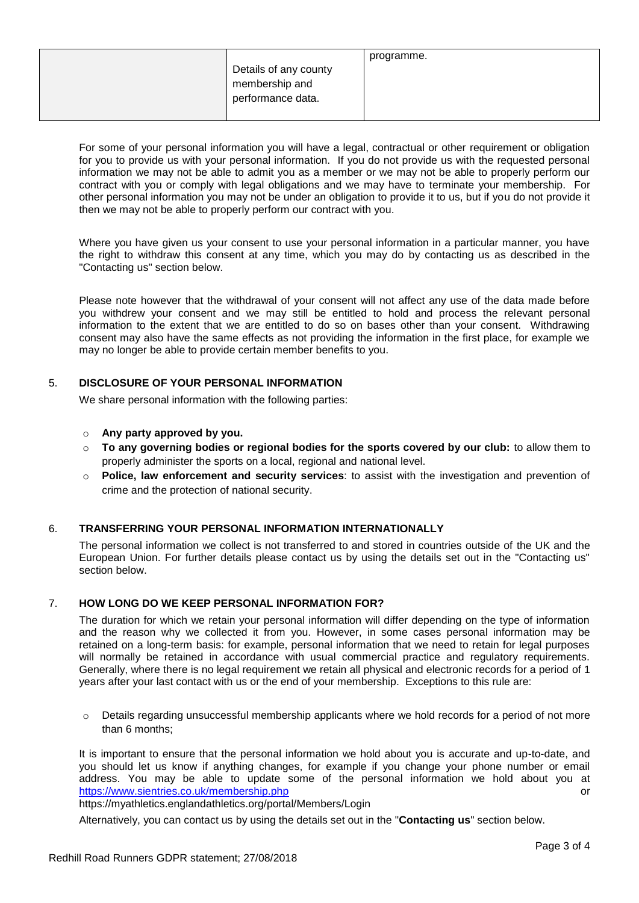| Details of any county<br>membership and | programme. |
|-----------------------------------------|------------|
| performance data.                       |            |

For some of your personal information you will have a legal, contractual or other requirement or obligation for you to provide us with your personal information. If you do not provide us with the requested personal information we may not be able to admit you as a member or we may not be able to properly perform our contract with you or comply with legal obligations and we may have to terminate your membership. For other personal information you may not be under an obligation to provide it to us, but if you do not provide it then we may not be able to properly perform our contract with you.

Where you have given us your consent to use your personal information in a particular manner, you have the right to withdraw this consent at any time, which you may do by contacting us as described in the "Contacting us" section below.

Please note however that the withdrawal of your consent will not affect any use of the data made before you withdrew your consent and we may still be entitled to hold and process the relevant personal information to the extent that we are entitled to do so on bases other than your consent. Withdrawing consent may also have the same effects as not providing the information in the first place, for example we may no longer be able to provide certain member benefits to you.

## 5. **DISCLOSURE OF YOUR PERSONAL INFORMATION**

We share personal information with the following parties:

- o **Any party approved by you.**
- o **To any governing bodies or regional bodies for the sports covered by our club:** to allow them to properly administer the sports on a local, regional and national level.
- o **Police, law enforcement and security services**: to assist with the investigation and prevention of crime and the protection of national security.

## 6. **TRANSFERRING YOUR PERSONAL INFORMATION INTERNATIONALLY**

The personal information we collect is not transferred to and stored in countries outside of the UK and the European Union. For further details please contact us by using the details set out in the "Contacting us" section below.

## 7. **HOW LONG DO WE KEEP PERSONAL INFORMATION FOR?**

The duration for which we retain your personal information will differ depending on the type of information and the reason why we collected it from you. However, in some cases personal information may be retained on a long-term basis: for example, personal information that we need to retain for legal purposes will normally be retained in accordance with usual commercial practice and regulatory requirements. Generally, where there is no legal requirement we retain all physical and electronic records for a period of 1 years after your last contact with us or the end of your membership. Exceptions to this rule are:

o Details regarding unsuccessful membership applicants where we hold records for a period of not more than 6 months;

It is important to ensure that the personal information we hold about you is accurate and up-to-date, and you should let us know if anything changes, for example if you change your phone number or email address. You may be able to update some of the personal information we hold about you at <https://www.sientries.co.uk/membership.php> or

https://myathletics.englandathletics.org/portal/Members/Login

Alternatively, you can contact us by using the details set out in the "**Contacting us**" section below.